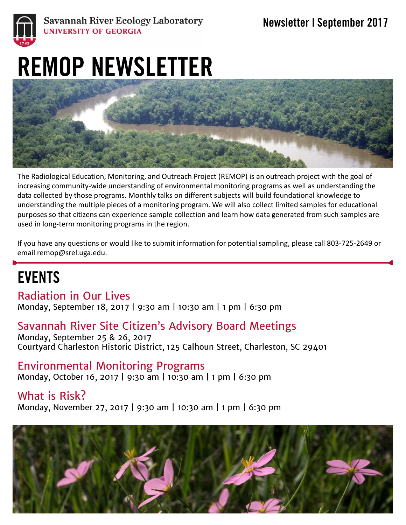

#### **Savannah River Ecology Laboratory** UNIVERSITY OF GEORGIA

# REMOP NEWSLETTER



The Radiological Education, Monitoring, and Outreach Project (REMOP) is an outreach project with the goal of increasing community-wide understanding of environmental monitoring programs as well as understanding the data collected by those programs. Monthly talks on different subjects will build foundational knowledge to understanding the multiple pieces of a monitoring program. We will also collect limited samples for educational purposes so that citizens can experience sample collection and learn how data generated from such samples are used in long-term monitoring programs in the region.

If you have any questions or would like to submit information for potential sampling, please call 803-725-2649 or email remop@srel.uga.edu.

# EVENTS

Radiation in Our Lives Monday, September 18, 2017 | 9:30 am | 10:30 am | 1 pm | 6:30 pm

### Savannah River Site Citizen's Advisory Board Meetings

Monday, September 25 & 26, 2017 Courtyard Charleston Historic District, 125 Calhoun Street, Charleston, SC 29401

Environmental Monitoring Programs Monday, October 16, 2017 | 9:30 am | 10:30 am | 1 pm | 6:30 pm

What is Risk? Monday, November 27, 2017 | 9:30 am | 10:30 am | 1 pm | 6:30 pm